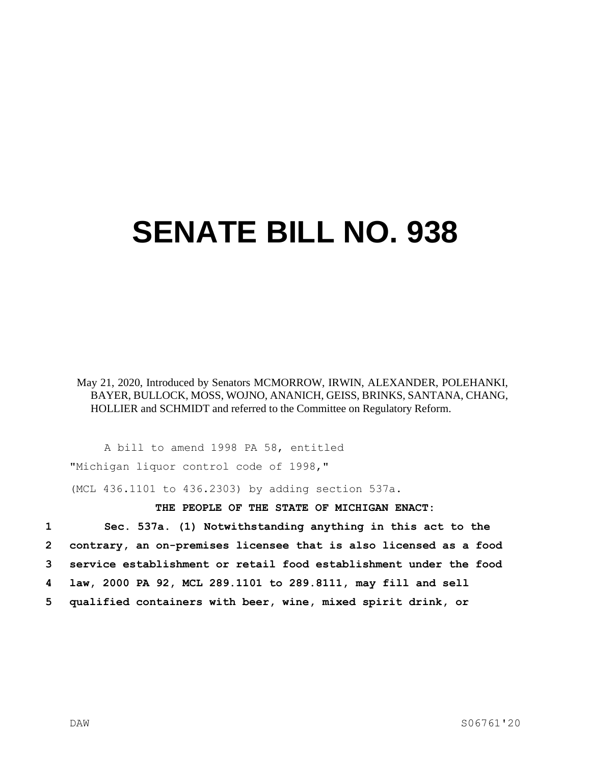## **SENATE BILL NO. 938**

May 21, 2020, Introduced by Senators MCMORROW, IRWIN, ALEXANDER, POLEHANKI, BAYER, BULLOCK, MOSS, WOJNO, ANANICH, GEISS, BRINKS, SANTANA, CHANG, HOLLIER and SCHMIDT and referred to the Committee on Regulatory Reform.

A bill to amend 1998 PA 58, entitled "Michigan liquor control code of 1998,"

(MCL 436.1101 to 436.2303) by adding section 537a.

## **THE PEOPLE OF THE STATE OF MICHIGAN ENACT:**

 **Sec. 537a. (1) Notwithstanding anything in this act to the contrary, an on-premises licensee that is also licensed as a food service establishment or retail food establishment under the food law, 2000 PA 92, MCL 289.1101 to 289.8111, may fill and sell qualified containers with beer, wine, mixed spirit drink, or**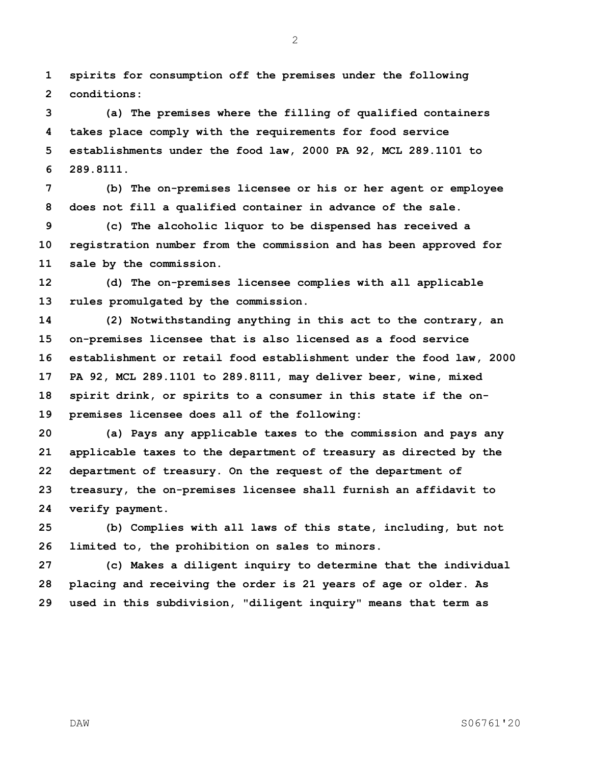**spirits for consumption off the premises under the following conditions:**

 **(a) The premises where the filling of qualified containers takes place comply with the requirements for food service establishments under the food law, 2000 PA 92, MCL 289.1101 to 289.8111.**

 **(b) The on-premises licensee or his or her agent or employee does not fill a qualified container in advance of the sale.**

 **(c) The alcoholic liquor to be dispensed has received a registration number from the commission and has been approved for sale by the commission.**

 **(d) The on-premises licensee complies with all applicable rules promulgated by the commission.**

 **(2) Notwithstanding anything in this act to the contrary, an on-premises licensee that is also licensed as a food service establishment or retail food establishment under the food law, 2000 PA 92, MCL 289.1101 to 289.8111, may deliver beer, wine, mixed spirit drink, or spirits to a consumer in this state if the on-premises licensee does all of the following:**

 **(a) Pays any applicable taxes to the commission and pays any applicable taxes to the department of treasury as directed by the department of treasury. On the request of the department of treasury, the on-premises licensee shall furnish an affidavit to verify payment.**

 **(b) Complies with all laws of this state, including, but not limited to, the prohibition on sales to minors.**

 **(c) Makes a diligent inquiry to determine that the individual placing and receiving the order is 21 years of age or older. As used in this subdivision, "diligent inquiry" means that term as**